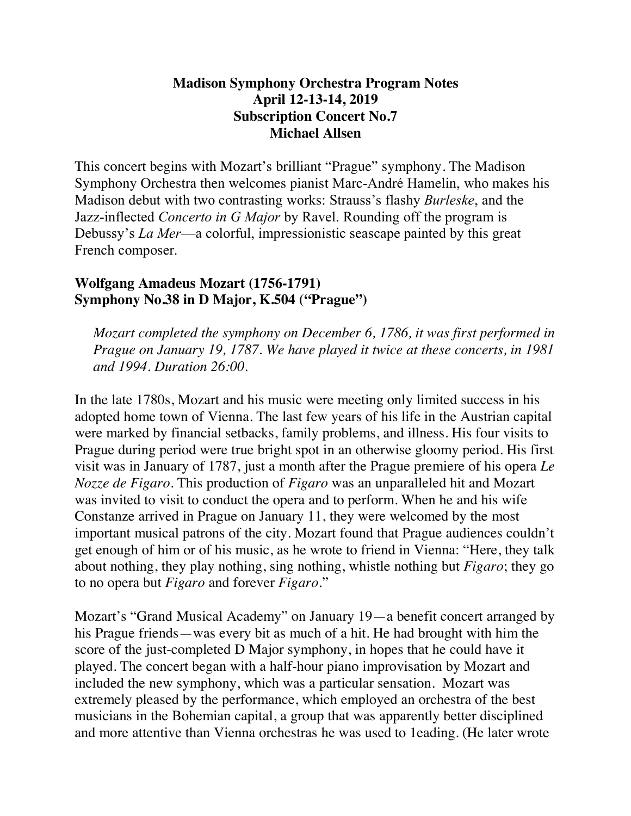## **Madison Symphony Orchestra Program Notes April 12-13-14, 2019 Subscription Concert No.7 Michael Allsen**

This concert begins with Mozart's brilliant "Prague" symphony. The Madison Symphony Orchestra then welcomes pianist Marc-André Hamelin, who makes his Madison debut with two contrasting works: Strauss's flashy *Burleske*, and the Jazz-inflected *Concerto in G Major* by Ravel. Rounding off the program is Debussy's *La Mer*—a colorful, impressionistic seascape painted by this great French composer.

# **Wolfgang Amadeus Mozart (1756-1791) Symphony No.38 in D Major, K.504 ("Prague")**

*Mozart completed the symphony on December 6, 1786, it was first performed in Prague on January 19, 1787. We have played it twice at these concerts, in 1981 and 1994. Duration 26:00.* 

In the late 1780s, Mozart and his music were meeting only limited success in his adopted home town of Vienna. The last few years of his life in the Austrian capital were marked by financial setbacks, family problems, and illness. His four visits to Prague during period were true bright spot in an otherwise gloomy period. His first visit was in January of 1787, just a month after the Prague premiere of his opera *Le Nozze de Figaro*. This production of *Figaro* was an unparalleled hit and Mozart was invited to visit to conduct the opera and to perform. When he and his wife Constanze arrived in Prague on January 11, they were welcomed by the most important musical patrons of the city. Mozart found that Prague audiences couldn't get enough of him or of his music, as he wrote to friend in Vienna: "Here, they talk about nothing, they play nothing, sing nothing, whistle nothing but *Figaro*; they go to no opera but *Figaro* and forever *Figaro*."

Mozart's "Grand Musical Academy" on January 19—a benefit concert arranged by his Prague friends—was every bit as much of a hit. He had brought with him the score of the just-completed D Major symphony, in hopes that he could have it played. The concert began with a half-hour piano improvisation by Mozart and included the new symphony, which was a particular sensation. Mozart was extremely pleased by the performance, which employed an orchestra of the best musicians in the Bohemian capital, a group that was apparently better disciplined and more attentive than Vienna orchestras he was used to 1eading. (He later wrote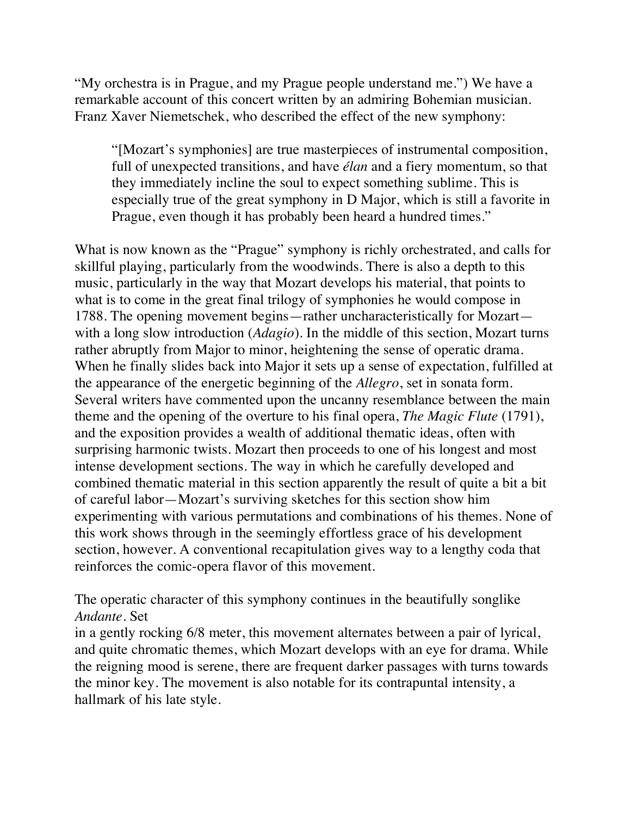"My orchestra is in Prague, and my Prague people understand me.") We have a remarkable account of this concert written by an admiring Bohemian musician. Franz Xaver Niemetschek, who described the effect of the new symphony:

"[Mozart's symphonies] are true masterpieces of instrumental composition, full of unexpected transitions, and have *élan* and a fiery momentum, so that they immediately incline the soul to expect something sublime. This is especially true of the great symphony in D Major, which is still a favorite in Prague, even though it has probably been heard a hundred times."

What is now known as the "Prague" symphony is richly orchestrated, and calls for skillful playing, particularly from the woodwinds. There is also a depth to this music, particularly in the way that Mozart develops his material, that points to what is to come in the great final trilogy of symphonies he would compose in 1788. The opening movement begins—rather uncharacteristically for Mozart with a long slow introduction (*Adagio*). In the middle of this section, Mozart turns rather abruptly from Major to minor, heightening the sense of operatic drama. When he finally slides back into Major it sets up a sense of expectation, fulfilled at the appearance of the energetic beginning of the *Allegro*, set in sonata form. Several writers have commented upon the uncanny resemblance between the main theme and the opening of the overture to his final opera, *The Magic Flute* (1791), and the exposition provides a wealth of additional thematic ideas, often with surprising harmonic twists. Mozart then proceeds to one of his longest and most intense development sections. The way in which he carefully developed and combined thematic material in this section apparently the result of quite a bit a bit of careful labor—Mozart's surviving sketches for this section show him experimenting with various permutations and combinations of his themes. None of this work shows through in the seemingly effortless grace of his development section, however. A conventional recapitulation gives way to a lengthy coda that reinforces the comic-opera flavor of this movement.

The operatic character of this symphony continues in the beautifully songlike *Andante*. Set

in a gently rocking 6/8 meter, this movement alternates between a pair of lyrical, and quite chromatic themes, which Mozart develops with an eye for drama. While the reigning mood is serene, there are frequent darker passages with turns towards the minor key. The movement is also notable for its contrapuntal intensity, a hallmark of his late style.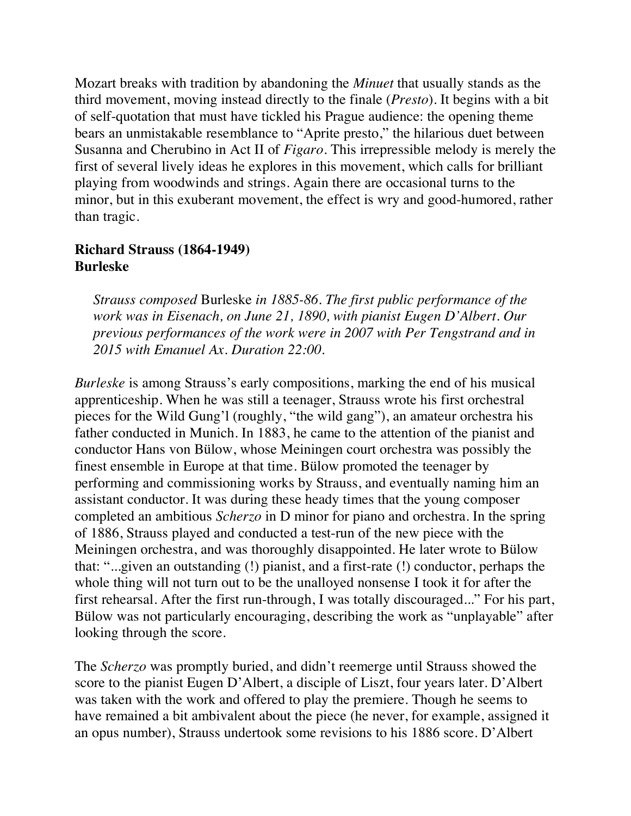Mozart breaks with tradition by abandoning the *Minuet* that usually stands as the third movement, moving instead directly to the finale (*Presto*). It begins with a bit of self-quotation that must have tickled his Prague audience: the opening theme bears an unmistakable resemblance to "Aprite presto," the hilarious duet between Susanna and Cherubino in Act II of *Figaro*. This irrepressible melody is merely the first of several lively ideas he explores in this movement, which calls for brilliant playing from woodwinds and strings. Again there are occasional turns to the minor, but in this exuberant movement, the effect is wry and good-humored, rather than tragic.

### **Richard Strauss (1864-1949) Burleske**

*Strauss composed* Burleske *in 1885-86. The first public performance of the work was in Eisenach, on June 21, 1890, with pianist Eugen D'Albert. Our previous performances of the work were in 2007 with Per Tengstrand and in 2015 with Emanuel Ax. Duration 22:00.*

*Burleske* is among Strauss's early compositions, marking the end of his musical apprenticeship. When he was still a teenager, Strauss wrote his first orchestral pieces for the Wild Gung'l (roughly, "the wild gang"), an amateur orchestra his father conducted in Munich. In 1883, he came to the attention of the pianist and conductor Hans von Bülow, whose Meiningen court orchestra was possibly the finest ensemble in Europe at that time. Bülow promoted the teenager by performing and commissioning works by Strauss, and eventually naming him an assistant conductor. It was during these heady times that the young composer completed an ambitious *Scherzo* in D minor for piano and orchestra. In the spring of 1886, Strauss played and conducted a test-run of the new piece with the Meiningen orchestra, and was thoroughly disappointed. He later wrote to Bülow that: "...given an outstanding (!) pianist, and a first-rate (!) conductor, perhaps the whole thing will not turn out to be the unalloyed nonsense I took it for after the first rehearsal. After the first run-through, I was totally discouraged..." For his part, Bülow was not particularly encouraging, describing the work as "unplayable" after looking through the score.

The *Scherzo* was promptly buried, and didn't reemerge until Strauss showed the score to the pianist Eugen D'Albert, a disciple of Liszt, four years later. D'Albert was taken with the work and offered to play the premiere. Though he seems to have remained a bit ambivalent about the piece (he never, for example, assigned it an opus number), Strauss undertook some revisions to his 1886 score. D'Albert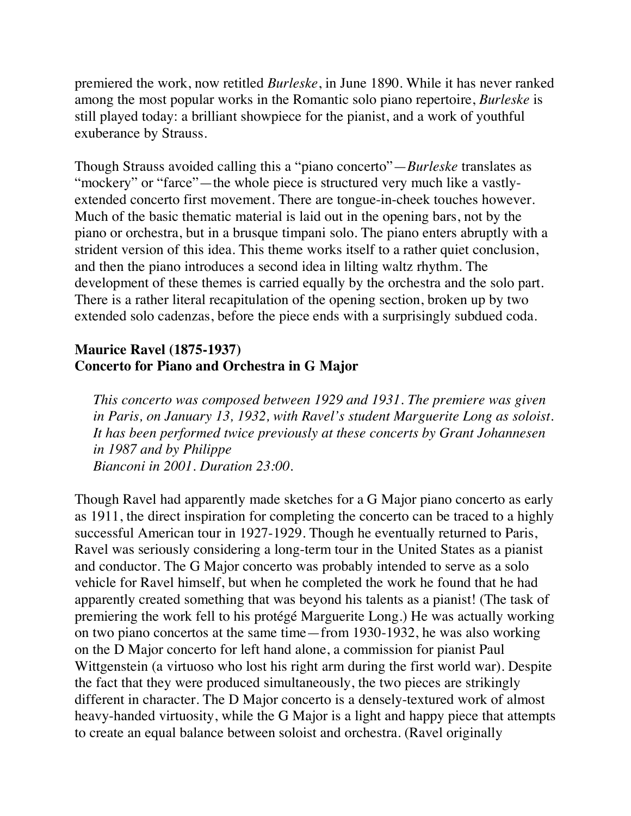premiered the work, now retitled *Burleske*, in June 1890. While it has never ranked among the most popular works in the Romantic solo piano repertoire, *Burleske* is still played today: a brilliant showpiece for the pianist, and a work of youthful exuberance by Strauss.

Though Strauss avoided calling this a "piano concerto"—*Burleske* translates as "mockery" or "farce"—the whole piece is structured very much like a vastlyextended concerto first movement. There are tongue-in-cheek touches however. Much of the basic thematic material is laid out in the opening bars, not by the piano or orchestra, but in a brusque timpani solo. The piano enters abruptly with a strident version of this idea. This theme works itself to a rather quiet conclusion, and then the piano introduces a second idea in lilting waltz rhythm. The development of these themes is carried equally by the orchestra and the solo part. There is a rather literal recapitulation of the opening section, broken up by two extended solo cadenzas, before the piece ends with a surprisingly subdued coda.

## **Maurice Ravel (1875-1937) Concerto for Piano and Orchestra in G Major**

*This concerto was composed between 1929 and 1931. The premiere was given in Paris, on January 13, 1932, with Ravel's student Marguerite Long as soloist. It has been performed twice previously at these concerts by Grant Johannesen in 1987 and by Philippe Bianconi in 2001. Duration 23:00.*

Though Ravel had apparently made sketches for a G Major piano concerto as early as 1911, the direct inspiration for completing the concerto can be traced to a highly successful American tour in 1927-1929. Though he eventually returned to Paris, Ravel was seriously considering a long-term tour in the United States as a pianist and conductor. The G Major concerto was probably intended to serve as a solo vehicle for Ravel himself, but when he completed the work he found that he had apparently created something that was beyond his talents as a pianist! (The task of premiering the work fell to his protégé Marguerite Long.) He was actually working on two piano concertos at the same time—from 1930-1932, he was also working on the D Major concerto for left hand alone, a commission for pianist Paul Wittgenstein (a virtuoso who lost his right arm during the first world war). Despite the fact that they were produced simultaneously, the two pieces are strikingly different in character. The D Major concerto is a densely-textured work of almost heavy-handed virtuosity, while the G Major is a light and happy piece that attempts to create an equal balance between soloist and orchestra. (Ravel originally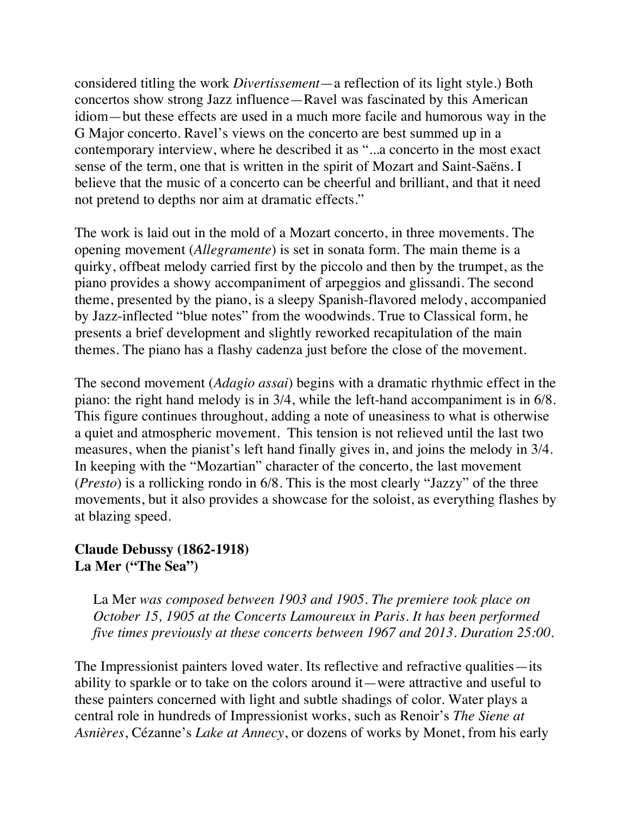considered titling the work *Divertissement*—a reflection of its light style.) Both concertos show strong Jazz influence—Ravel was fascinated by this American idiom—but these effects are used in a much more facile and humorous way in the G Major concerto. Ravel's views on the concerto are best summed up in a contemporary interview, where he described it as "...a concerto in the most exact sense of the term, one that is written in the spirit of Mozart and Saint-Saëns. I believe that the music of a concerto can be cheerful and brilliant, and that it need not pretend to depths nor aim at dramatic effects."

The work is laid out in the mold of a Mozart concerto, in three movements. The opening movement (*Allegramente*) is set in sonata form. The main theme is a quirky, offbeat melody carried first by the piccolo and then by the trumpet, as the piano provides a showy accompaniment of arpeggios and glissandi. The second theme, presented by the piano, is a sleepy Spanish-flavored melody, accompanied by Jazz-inflected "blue notes" from the woodwinds. True to Classical form, he presents a brief development and slightly reworked recapitulation of the main themes. The piano has a flashy cadenza just before the close of the movement.

The second movement (*Adagio assai*) begins with a dramatic rhythmic effect in the piano: the right hand melody is in 3/4, while the left-hand accompaniment is in 6/8. This figure continues throughout, adding a note of uneasiness to what is otherwise a quiet and atmospheric movement. This tension is not relieved until the last two measures, when the pianist's left hand finally gives in, and joins the melody in 3/4. In keeping with the "Mozartian" character of the concerto, the last movement (*Presto*) is a rollicking rondo in 6/8. This is the most clearly "Jazzy" of the three movements, but it also provides a showcase for the soloist, as everything flashes by at blazing speed.

## **Claude Debussy (1862-1918) La Mer ("The Sea")**

La Mer *was composed between 1903 and 1905. The premiere took place on October 15, 1905 at the Concerts Lamoureux in Paris. It has been performed five times previously at these concerts between 1967 and 2013. Duration 25:00.*

The Impressionist painters loved water. Its reflective and refractive qualities—its ability to sparkle or to take on the colors around it—were attractive and useful to these painters concerned with light and subtle shadings of color. Water plays a central role in hundreds of Impressionist works, such as Renoir's *The Siene at Asnières*, Cézanne's *Lake at Annecy*, or dozens of works by Monet, from his early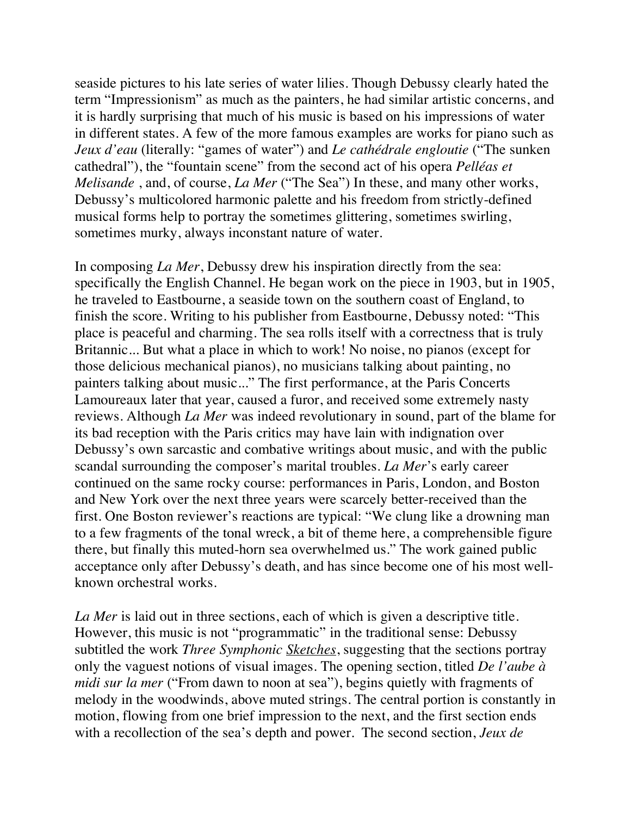seaside pictures to his late series of water lilies. Though Debussy clearly hated the term "Impressionism" as much as the painters, he had similar artistic concerns, and it is hardly surprising that much of his music is based on his impressions of water in different states. A few of the more famous examples are works for piano such as *Jeux d'eau* (literally: "games of water") and *Le cathédrale engloutie* ("The sunken cathedral"), the "fountain scene" from the second act of his opera *Pelléas et Melisande* , and, of course, *La Mer* ("The Sea") In these, and many other works, Debussy's multicolored harmonic palette and his freedom from strictly-defined musical forms help to portray the sometimes glittering, sometimes swirling, sometimes murky, always inconstant nature of water.

In composing *La Mer*, Debussy drew his inspiration directly from the sea: specifically the English Channel. He began work on the piece in 1903, but in 1905, he traveled to Eastbourne, a seaside town on the southern coast of England, to finish the score. Writing to his publisher from Eastbourne, Debussy noted: "This place is peaceful and charming. The sea rolls itself with a correctness that is truly Britannic... But what a place in which to work! No noise, no pianos (except for those delicious mechanical pianos), no musicians talking about painting, no painters talking about music..." The first performance, at the Paris Concerts Lamoureaux later that year, caused a furor, and received some extremely nasty reviews. Although *La Mer* was indeed revolutionary in sound, part of the blame for its bad reception with the Paris critics may have lain with indignation over Debussy's own sarcastic and combative writings about music, and with the public scandal surrounding the composer's marital troubles. *La Mer*'s early career continued on the same rocky course: performances in Paris, London, and Boston and New York over the next three years were scarcely better-received than the first. One Boston reviewer's reactions are typical: "We clung like a drowning man to a few fragments of the tonal wreck, a bit of theme here, a comprehensible figure there, but finally this muted-horn sea overwhelmed us." The work gained public acceptance only after Debussy's death, and has since become one of his most wellknown orchestral works.

*La Mer* is laid out in three sections, each of which is given a descriptive title. However, this music is not "programmatic" in the traditional sense: Debussy subtitled the work *Three Symphonic Sketches*, suggesting that the sections portray only the vaguest notions of visual images. The opening section, titled *De l'aube à midi sur la mer* ("From dawn to noon at sea"), begins quietly with fragments of melody in the woodwinds, above muted strings. The central portion is constantly in motion, flowing from one brief impression to the next, and the first section ends with a recollection of the sea's depth and power. The second section, *Jeux de*